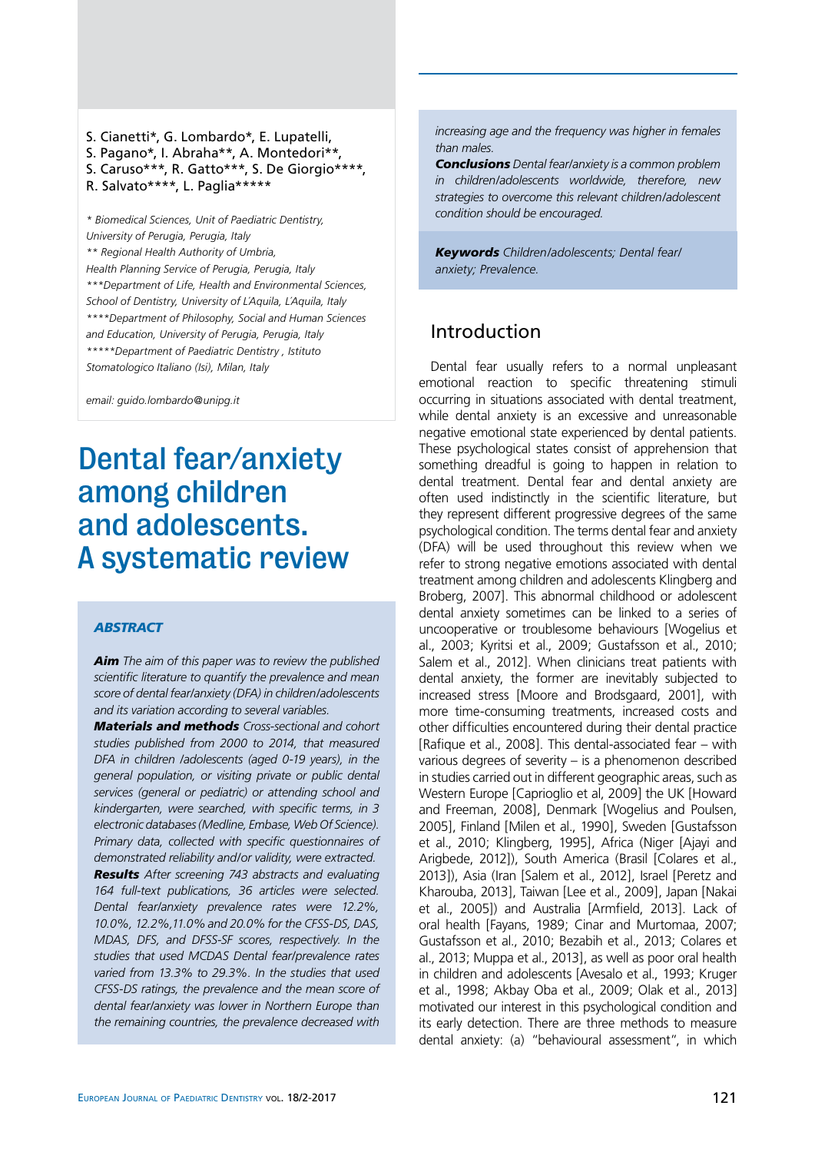S. Cianetti\*, G. Lombardo\*, E. Lupatelli, S. Pagano\*, I. Abraha\*\*, A. Montedori\*\*, S. Caruso\*\*\*, R. Gatto\*\*\*, S. De Giorgio\*\*\*\*, R. Salvato\*\*\*\*, L. Paglia\*\*\*\*\*

*\* Biomedical Sciences, Unit of Paediatric Dentistry, University of Perugia, Perugia, Italy \*\* Regional Health Authority of Umbria, Health Planning Service of Perugia, Perugia, Italy \*\*\*Department of Life, Health and Environmental Sciences, School of Dentistry, University of L´Aquila, L´Aquila, Italy \*\*\*\*Department of Philosophy, Social and Human Sciences and Education, University of Perugia, Perugia, Italy \*\*\*\*\*Department of Paediatric Dentistry , Istituto Stomatologico Italiano (Isi), Milan, Italy*

*email: guido.lombardo@unipg.it*

# Dental fear/anxiety among children and adolescents. A systematic review

#### *abstract*

*Aim The aim of this paper was to review the published scientific literature to quantify the prevalence and mean score of dental fear/anxiety (DFA) in children/adolescents and its variation according to several variables.*

*Materials and methods Cross-sectional and cohort studies published from 2000 to 2014, that measured DFA in children /adolescents (aged 0-19 years), in the general population, or visiting private or public dental services (general or pediatric) or attending school and kindergarten, were searched, with specific terms, in 3 electronic databases (Medline, Embase, Web Of Science). Primary data, collected with specific questionnaires of demonstrated reliability and/or validity, were extracted. Results After screening 743 abstracts and evaluating 164 full-text publications, 36 articles were selected. Dental fear/anxiety prevalence rates were 12.2%, 10.0%, 12.2%,11.0% and 20.0% for the CFSS-DS, DAS, MDAS, DFS, and DFSS-SF scores, respectively. In the studies that used MCDAS Dental fear/prevalence rates varied from 13.3% to 29.3%. In the studies that used CFSS-DS ratings, the prevalence and the mean score of dental fear/anxiety was lower in Northern Europe than the remaining countries, the prevalence decreased with* 

*increasing age and the frequency was higher in females than males.*

*Conclusions Dental fear/anxiety is a common problem in children/adolescents worldwide, therefore, new strategies to overcome this relevant children/adolescent condition should be encouraged.*

*Keywords Children/adolescents; Dental fear/ anxiety; Prevalence.*

## Introduction

Dental fear usually refers to a normal unpleasant emotional reaction to specific threatening stimuli occurring in situations associated with dental treatment, while dental anxiety is an excessive and unreasonable negative emotional state experienced by dental patients. These psychological states consist of apprehension that something dreadful is going to happen in relation to dental treatment. Dental fear and dental anxiety are often used indistinctly in the scientific literature, but they represent different progressive degrees of the same psychological condition. The terms dental fear and anxiety (DFA) will be used throughout this review when we refer to strong negative emotions associated with dental treatment among children and adolescents Klingberg and Broberg, 2007]. This abnormal childhood or adolescent dental anxiety sometimes can be linked to a series of uncooperative or troublesome behaviours [Wogelius et al., 2003; Kyritsi et al., 2009; Gustafsson et al., 2010; Salem et al., 2012]. When clinicians treat patients with dental anxiety, the former are inevitably subjected to increased stress [Moore and Brodsgaard, 2001], with more time-consuming treatments, increased costs and other difficulties encountered during their dental practice [Rafique et al., 2008]. This dental-associated fear – with various degrees of severity – is a phenomenon described in studies carried out in different geographic areas, such as Western Europe [Caprioglio et al, 2009] the UK [Howard and Freeman, 2008], Denmark [Wogelius and Poulsen, 2005], Finland [Milen et al., 1990], Sweden [Gustafsson et al., 2010; Klingberg, 1995], Africa (Niger [Ajayi and Arigbede, 2012]), South America (Brasil [Colares et al., 2013]), Asia (Iran [Salem et al., 2012], Israel [Peretz and Kharouba, 2013], Taiwan [Lee et al., 2009], Japan [Nakai et al., 2005]) and Australia [Armfield, 2013]. Lack of oral health [Fayans, 1989; Cinar and Murtomaa, 2007; Gustafsson et al., 2010; Bezabih et al., 2013; Colares et al., 2013; Muppa et al., 2013], as well as poor oral health in children and adolescents [Avesalo et al., 1993; Kruger et al., 1998; Akbay Oba et al., 2009; Olak et al., 2013] motivated our interest in this psychological condition and its early detection. There are three methods to measure dental anxiety: (a) "behavioural assessment", in which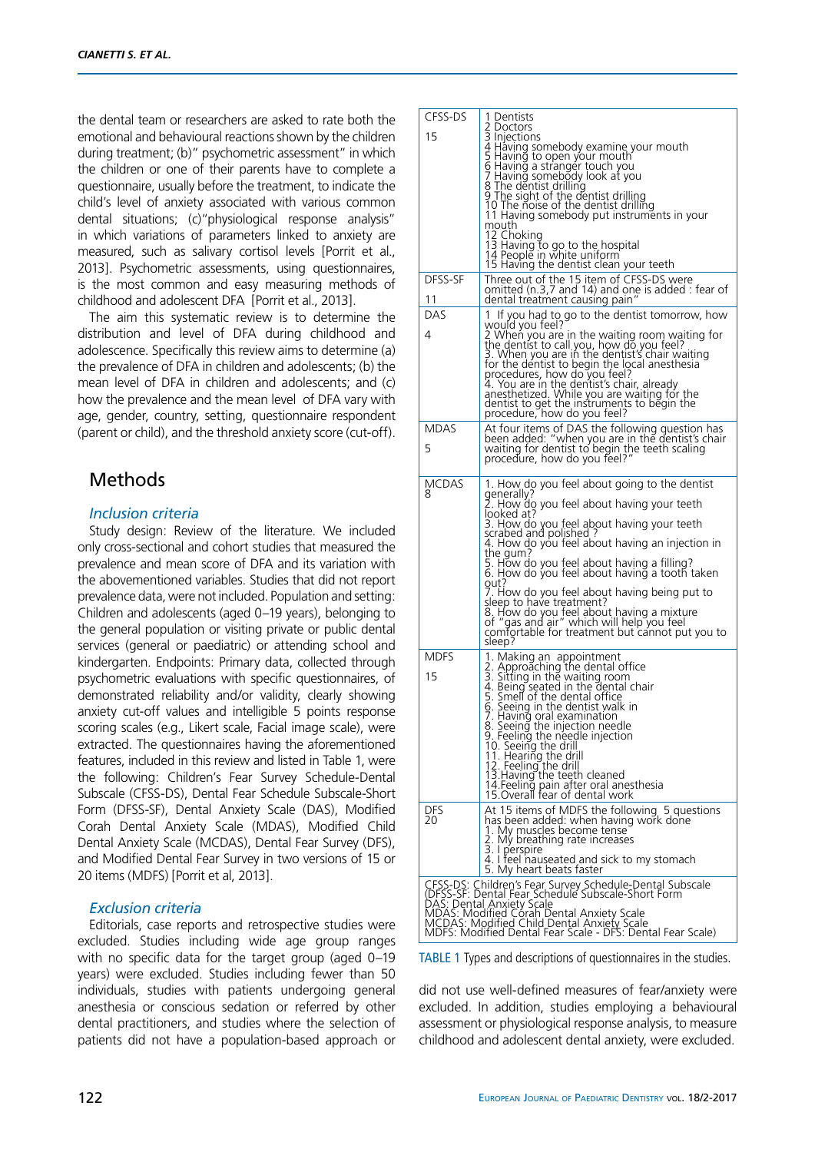the dental team or researchers are asked to rate both the emotional and behavioural reactions shown by the children during treatment; (b)" psychometric assessment" in which the children or one of their parents have to complete a questionnaire, usually before the treatment, to indicate the child's level of anxiety associated with various common dental situations; (c)"physiological response analysis" in which variations of parameters linked to anxiety are measured, such as salivary cortisol levels [Porrit et al., 2013]. Psychometric assessments, using questionnaires, is the most common and easy measuring methods of childhood and adolescent DFA [Porrit et al., 2013].

The aim this systematic review is to determine the distribution and level of DFA during childhood and adolescence. Specifically this review aims to determine (a) the prevalence of DFA in children and adolescents; (b) the mean level of DFA in children and adolescents; and (c) how the prevalence and the mean level of DFA vary with age, gender, country, setting, questionnaire respondent (parent or child), and the threshold anxiety score (cut-off).

# Methods

#### *Inclusion criteria*

Study design: Review of the literature. We included only cross-sectional and cohort studies that measured the prevalence and mean score of DFA and its variation with the abovementioned variables. Studies that did not report prevalence data, were not included. Population and setting: Children and adolescents (aged 0–19 years), belonging to the general population or visiting private or public dental services (general or paediatric) or attending school and kindergarten. Endpoints: Primary data, collected through psychometric evaluations with specific questionnaires, of demonstrated reliability and/or validity, clearly showing anxiety cut-off values and intelligible 5 points response scoring scales (e.g., Likert scale, Facial image scale), were extracted. The questionnaires having the aforementioned features, included in this review and listed in Table 1, were the following: Children's Fear Survey Schedule-Dental Subscale (CFSS-DS), Dental Fear Schedule Subscale-Short Form (DFSS-SF), Dental Anxiety Scale (DAS), Modified Corah Dental Anxiety Scale (MDAS), Modified Child Dental Anxiety Scale (MCDAS), Dental Fear Survey (DFS), and Modified Dental Fear Survey in two versions of 15 or 20 items (MDFS) [Porrit et al, 2013].

#### *Exclusion criteria*

Editorials, case reports and retrospective studies were excluded. Studies including wide age group ranges with no specific data for the target group (aged 0–19 years) were excluded. Studies including fewer than 50 individuals, studies with patients undergoing general anesthesia or conscious sedation or referred by other dental practitioners, and studies where the selection of patients did not have a population-based approach or

| CFSS-DS           | 1 Dentists                                                                                                                                                                                                                                                                                                                                                                                                                                                                                                                                                                                               |
|-------------------|----------------------------------------------------------------------------------------------------------------------------------------------------------------------------------------------------------------------------------------------------------------------------------------------------------------------------------------------------------------------------------------------------------------------------------------------------------------------------------------------------------------------------------------------------------------------------------------------------------|
| 15                | 2 Doctors<br>3 Injections<br>4 Having somebody examine your mouth<br>5 Having to open your mouth<br>6 Having a stranger touch you<br>7 Having somebody look at you<br>8 The dentist drilling<br>9 The sight of the dentist drilling<br>10 The noise of the dentist drilling<br>11 Having somebody put instruments in your<br>mouth<br>12 Choking<br>13 Having to go to the hospital<br>14 People in white uniform<br>15 Having the dentist clean your teeth                                                                                                                                              |
| DFSS-SF<br>11     | Three out of the 15 item of CFSS-DS were<br>omitted (n.3,7 and 14) and one is added : fear of<br>dental treatment causing pain"                                                                                                                                                                                                                                                                                                                                                                                                                                                                          |
| DAS<br>4          | 1 If you had to go to the dentist tomorrow, how<br>would you feel?<br>2 When you are in the waiting room waiting for<br>the dentist to call you, how do you feel?<br>3. When you are in the dentist's chair waiting<br>for the dentist to begin the local anesthesia<br>procedures, how do you feel?<br>4. You are in the dentist's chair, already<br>anesthetized. While you are waiting for the<br>dentist to get the instruments to begin the<br>procedure, how do you teel?                                                                                                                          |
| MDAS<br>5         | At four items of DAS the following question has<br>been added: "when you are in the dentist's chair<br>waiting for dentist to begin the teeth scaling<br>procedure, how do you feel?"                                                                                                                                                                                                                                                                                                                                                                                                                    |
| <b>MCDAS</b><br>8 | 1. How do you feel about going to the dentist<br>generally?<br>2. How do you feel about having your teeth<br>looked at?<br>3. How do you feel about having your teeth<br>scrabed and polished ?<br>4. How do you feel about having an injection in<br>the gum?<br>5. How do you feel about having a filling?<br>6. How do you feel about having a tooth taken<br>out?<br>7. How do you feel about having being put to<br>sleep to have treatment?<br>8. How do you feel about having a mixture<br>of "gas and air" which will help you feel<br>comfortable for treatment but cannot put you to<br>sleep? |
| <b>MDFS</b><br>15 | 1. Making an appointment<br>2. Approăching the dental office<br>3. Sitting in the waiting room<br>4. Being seated in the dental chair<br>5. Smell of the dental office<br>6. Seeing in the dentist walk in<br>7. Having oral examination<br>8. Seeing the injection needle<br>9. Feeling the needle injection<br>10. Seeing the drill<br>11. Hearing the drill<br>12. Feeling the drill<br>13. Having the teeth cleaned<br>14. Feeling pain after oral anesthesia<br>15. Overall fear of dental work                                                                                                     |
| DFS<br>20         | At 15 items of MDFS the following 5 questions<br>has been added: when having work done<br>1. My muscles become tense<br>2. My breathing rate increases<br>3. I perspire<br>4. I feel nauseated and sick to my stomach<br>5. My heart beats faster                                                                                                                                                                                                                                                                                                                                                        |
|                   | CFSS-DS: Children's Fear Survey Schedule-Dental Subscale<br>(DFSS-SF: Dental Fear Schedule Subscale-Short Form<br>DAS: Dental Anxiety Scale<br>MDAS: Modified Corah Dental Anxiety Scale<br>MCDAS: Modified Child Dental Anxiety Scale<br>MDFS: Modified Dental Fear Scale - DFS: Dental Fear Scale)                                                                                                                                                                                                                                                                                                     |

TABLE 1 Types and descriptions of questionnaires in the studies.

did not use well-defined measures of fear/anxiety were excluded. In addition, studies employing a behavioural assessment or physiological response analysis, to measure childhood and adolescent dental anxiety, were excluded.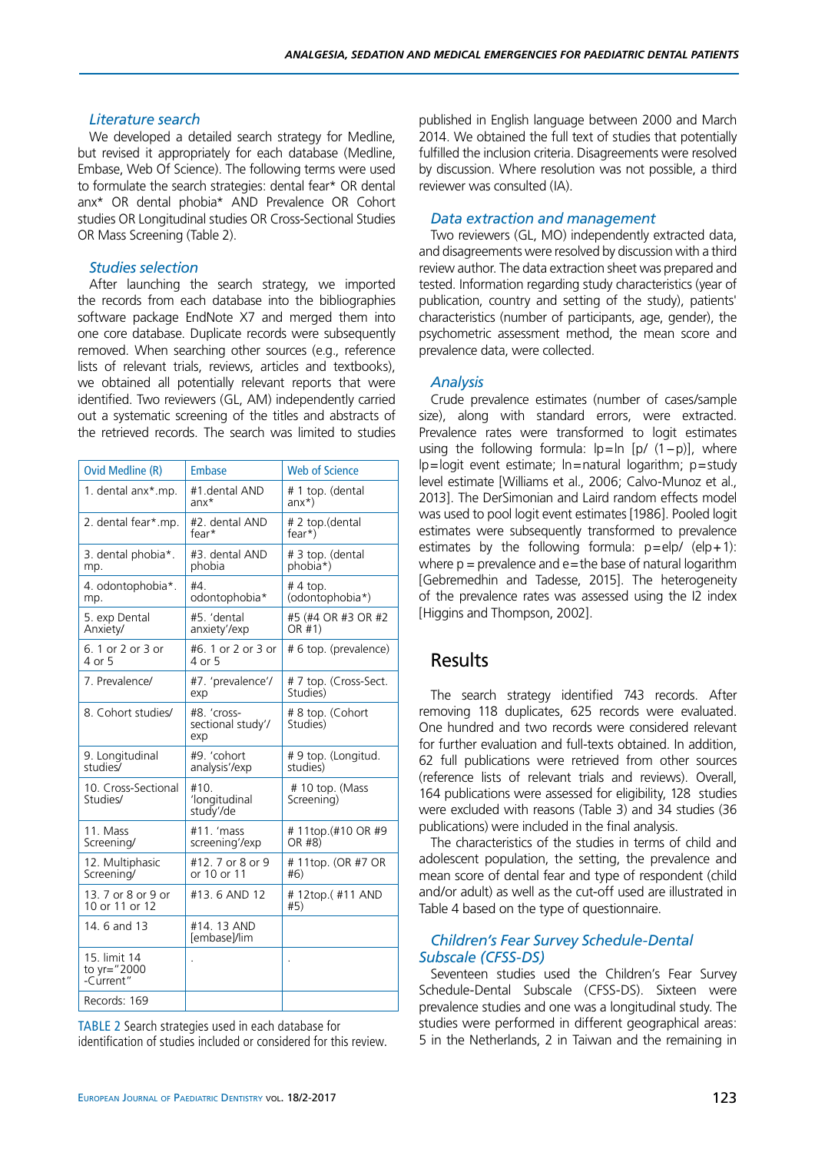#### *Literature search*

We developed a detailed search strategy for Medline, but revised it appropriately for each database (Medline, Embase, Web Of Science). The following terms were used to formulate the search strategies: dental fear\* OR dental anx\* OR dental phobia\* AND Prevalence OR Cohort studies OR Longitudinal studies OR Cross-Sectional Studies OR Mass Screening (Table 2).

#### *Studies selection*

After launching the search strategy, we imported the records from each database into the bibliographies software package EndNote X7 and merged them into one core database. Duplicate records were subsequently removed. When searching other sources (e.g., reference lists of relevant trials, reviews, articles and textbooks), we obtained all potentially relevant reports that were identified. Two reviewers (GL, AM) independently carried out a systematic screening of the titles and abstracts of the retrieved records. The search was limited to studies

| <b>Ovid Medline (R)</b>                  | Embase                                  | <b>Web of Science</b>             |
|------------------------------------------|-----------------------------------------|-----------------------------------|
| 1. dental anx*.mp.                       | #1 dental AND<br>$anx*$                 | # 1 top. (dental<br>$anx^{\star}$ |
| 2. dental fear*.mp.                      | #2. dental AND<br>fear*                 | # 2 top.(dental<br>$fear*)$       |
| 3. dental phobia*.<br>mp.                | #3. dental AND<br>phobia                | # 3 top. (dental<br>phobia*)      |
| 4. odontophobia*.<br>mp.                 | #4.<br>odontophobia*                    | $# 4$ top.<br>(odontophobia*)     |
| 5. exp Dental<br>Anxiety/                | #5. 'dental<br>anxiety'/exp             | #5 (#4 OR #3 OR #2<br>OR #1)      |
| 6. 1 or 2 or 3 or<br>4 or 5              | #6. 1 or 2 or 3 or<br>4 or 5            | # 6 top. (prevalence)             |
| 7. Prevalence/                           | #7. 'prevalence'/<br>exp                | # 7 top. (Cross-Sect.<br>Studies) |
| 8. Cohort studies/                       | #8. 'cross-<br>sectional study'/<br>exp | # 8 top. (Cohort<br>Studies)      |
| 9. Longitudinal<br>studies/              | #9. 'cohort<br>analysis'/exp            | # 9 top. (Longitud.<br>studies)   |
| 10. Cross-Sectional<br>Studies/          | #10.<br>'longitudinal<br>study'/de      | # 10 top. (Mass<br>Screening)     |
| 11. Mass<br>Screening/                   | #11. 'mass<br>screening'/exp            | #11top.(#10 OR #9<br>OR #8)       |
| 12. Multiphasic<br>Screening/            | #12.7 or 8 or 9<br>or 10 or 11          | # 11top. (OR #7 OR<br>#6)         |
| 13. 7 or 8 or 9 or<br>10 or 11 or 12     | #13.6 AND 12                            | #12top.(#11 AND<br>#5)            |
| 14.6 and 13                              | #14, 13 AND<br>[embase]/lim             |                                   |
| 15. limit 14<br>to yr="2000<br>-Current" |                                         |                                   |
| Records: 169                             |                                         |                                   |

Table 2 Search strategies used in each database for identification of studies included or considered for this review. published in English language between 2000 and March 2014. We obtained the full text of studies that potentially fulfilled the inclusion criteria. Disagreements were resolved by discussion. Where resolution was not possible, a third reviewer was consulted (IA).

#### *Data extraction and management*

Two reviewers (GL, MO) independently extracted data, and disagreements were resolved by discussion with a third review author. The data extraction sheet was prepared and tested. Information regarding study characteristics (year of publication, country and setting of the study), patients' characteristics (number of participants, age, gender), the psychometric assessment method, the mean score and prevalence data, were collected.

#### *Analysis*

Crude prevalence estimates (number of cases/sample size), along with standard errors, were extracted. Prevalence rates were transformed to logit estimates using the following formula: lp=ln [p/ (1−p)], where  $lp = logit$  event estimate;  $ln =$ natural logarithm;  $p =$ study level estimate [Williams et al., 2006; Calvo-Munoz et al., 2013]. The DerSimonian and Laird random effects model was used to pool logit event estimates [1986]. Pooled logit estimates were subsequently transformed to prevalence estimates by the following formula:  $p = e/p / (e/p + 1)$ : where  $p =$  prevalence and  $e =$ the base of natural logarithm [Gebremedhin and Tadesse, 2015]. The heterogeneity of the prevalence rates was assessed using the I2 index [Higgins and Thompson, 2002].

## **Results**

The search strategy identified 743 records. After removing 118 duplicates, 625 records were evaluated. One hundred and two records were considered relevant for further evaluation and full-texts obtained. In addition, 62 full publications were retrieved from other sources (reference lists of relevant trials and reviews). Overall, 164 publications were assessed for eligibility, 128 studies were excluded with reasons (Table 3) and 34 studies (36 publications) were included in the final analysis.

The characteristics of the studies in terms of child and adolescent population, the setting, the prevalence and mean score of dental fear and type of respondent (child and/or adult) as well as the cut-off used are illustrated in Table 4 based on the type of questionnaire.

#### *Children's Fear Survey Schedule-Dental Subscale (CFSS-DS)*

Seventeen studies used the Children's Fear Survey Schedule-Dental Subscale (CFSS-DS). Sixteen were prevalence studies and one was a longitudinal study. The studies were performed in different geographical areas: 5 in the Netherlands, 2 in Taiwan and the remaining in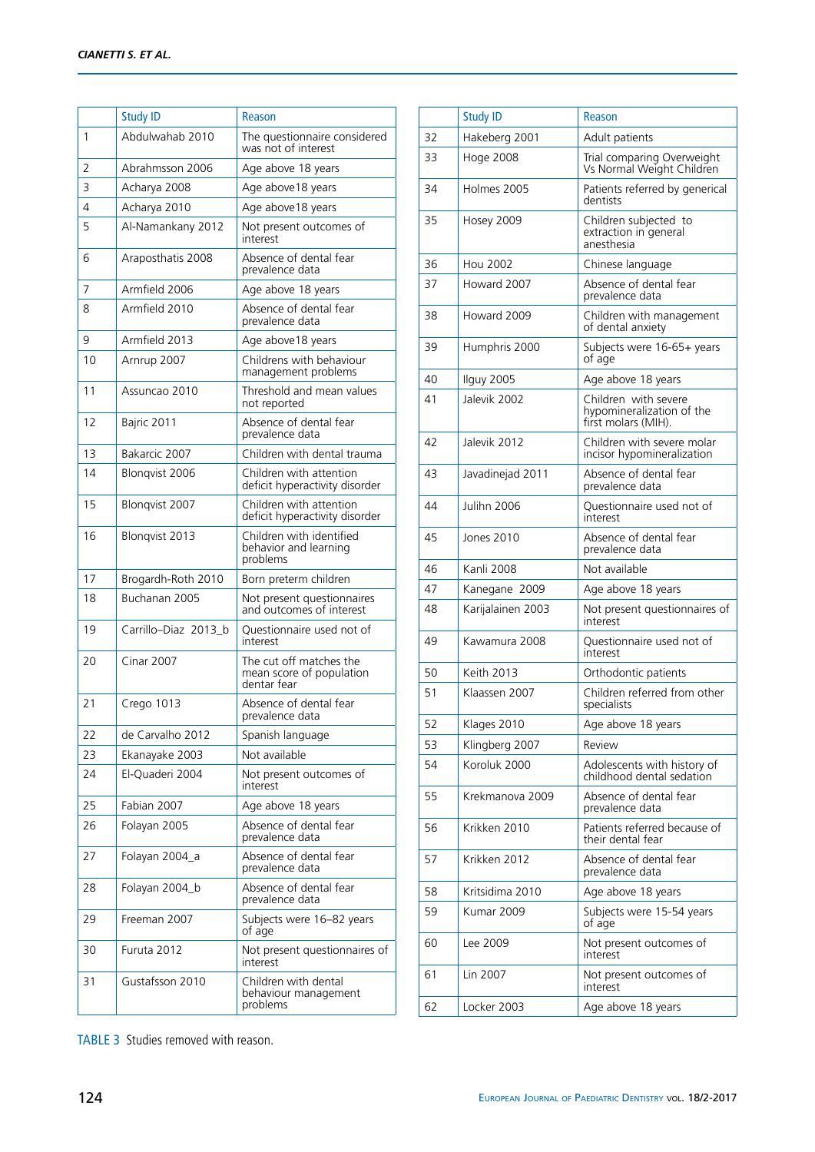|    | <b>Study ID</b>      | Reason                                                             |
|----|----------------------|--------------------------------------------------------------------|
| 1  | Abdulwahab 2010      | The questionnaire considered<br>was not of interest                |
| 2  | Abrahmsson 2006      | Age above 18 years                                                 |
| 3  | Acharya 2008         | Age above 18 years                                                 |
| 4  | Acharya 2010         | Age above 18 years                                                 |
| 5  | Al-Namankany 2012    | Not present outcomes of<br>interest                                |
| 6  | Araposthatis 2008    | Absence of dental fear<br>prevalence data                          |
| 7  | Armfield 2006        | Age above 18 years                                                 |
| 8  | Armfield 2010        | Absence of dental fear<br>prevalence data                          |
| 9  | Armfield 2013        | Age above 18 years                                                 |
| 10 | Arnrup 2007          | Childrens with behaviour<br>management problems                    |
| 11 | Assuncao 2010        | Threshold and mean values<br>not reported                          |
| 12 | Bajric 2011          | Absence of dental fear<br>prevalence data                          |
| 13 | Bakarcic 2007        | Children with dental trauma                                        |
| 14 | Blonqvist 2006       | Children with attention<br>deficit hyperactivity disorder          |
| 15 | Blongvist 2007       | Children with attention<br>deficit hyperactivity disorder          |
| 16 | Blongvist 2013       | Children with identified<br>behavior and learning<br>problems      |
| 17 | Brogardh-Roth 2010   | Born preterm children                                              |
| 18 | Buchanan 2005        | Not present questionnaires<br>and outcomes of interest             |
| 19 | Carrillo-Diaz 2013_b | Ouestionnaire used not of<br>interest                              |
| 20 | <b>Cinar 2007</b>    | The cut off matches the<br>mean score of population<br>dentar fear |
| 21 | Crego 1013           | Absence of dental fear<br>prevalence data                          |
| 22 | de Carvalho 2012     | Spanish language                                                   |
| 23 | Ekanayake 2003       | Not available                                                      |
| 24 | El-Quaderi 2004      | Not present outcomes of<br>interest                                |
| 25 | Fabian 2007          | Age above 18 years                                                 |
| 26 | Folayan 2005         | Absence of dental fear<br>prevalence data                          |
| 27 | Folayan 2004_a       | Absence of dental fear<br>prevalence data                          |
| 28 | Folayan 2004_b       | Absence of dental fear<br>prevalence data                          |
| 29 | Freeman 2007         | Subjects were 16-82 years<br>of age                                |
| 30 | Furuta 2012          | Not present questionnaires of<br>interest                          |
| 31 | Gustafsson 2010      | Children with dental<br>behaviour management<br>problems           |

|    | <b>Study ID</b>   | Reason                                                                   |
|----|-------------------|--------------------------------------------------------------------------|
| 32 | Hakeberg 2001     | Adult patients                                                           |
| 33 | <b>Hoge 2008</b>  | Trial comparing Overweight<br>Vs Normal Weight Children                  |
| 34 | Holmes 2005       | Patients referred by generical<br>dentists                               |
| 35 | Hosey 2009        | Children subjected to<br>extraction in general<br>anesthesia             |
| 36 | <b>Hou 2002</b>   | Chinese language                                                         |
| 37 | Howard 2007       | Absence of dental fear<br>prevalence data                                |
| 38 | Howard 2009       | Children with management<br>of dental anxiety                            |
| 39 | Humphris 2000     | Subjects were 16-65+ years<br>of age                                     |
| 40 | Ilguy 2005        | Age above 18 years                                                       |
| 41 | Jalevik 2002      | Children with severe<br>hypomineralization of the<br>first molars (MIH). |
| 42 | Jalevik 2012      | Children with severe molar<br>incisor hypomineralization                 |
| 43 | Javadinejad 2011  | Absence of dental fear<br>prevalence data                                |
| 44 | Julihn 2006       | Questionnaire used not of<br>interest                                    |
| 45 | Jones 2010        | Absence of dental fear<br>prevalence data                                |
| 46 | Kanli 2008        | Not available                                                            |
| 47 | Kanegane 2009     | Age above 18 years                                                       |
| 48 | Karijalainen 2003 | Not present questionnaires of                                            |
|    |                   | interest                                                                 |
| 49 | Kawamura 2008     | Questionnaire used not of<br>interest                                    |
| 50 | <b>Keith 2013</b> | Orthodontic patients                                                     |
| 51 | Klaassen 2007     | Children referred from other<br>specialists                              |
| 52 | Klages 2010       | Age above 18 years                                                       |
| 53 | Klingberg 2007    | Review                                                                   |
| 54 | Koroluk 2000      | Adolescents with history of<br>childhood dental sedation                 |
| 55 | Krekmanova 2009   | Absence of dental fear<br>prevalence data                                |
| 56 | Krikken 2010      | Patients referred because of<br>their dental fear                        |
| 57 | Krikken 2012      | Absence of dental fear<br>prevalence data                                |
| 58 | Kritsidima 2010   | Age above 18 years                                                       |
| 59 | Kumar 2009        | Subjects were 15-54 years<br>of age                                      |
| 60 | Lee 2009          | Not present outcomes of<br>interest                                      |
| 61 | Lin 2007          | Not present outcomes of<br>interest                                      |
| 62 | Locker 2003       | Age above 18 years                                                       |

TABLE 3 Studies removed with reason.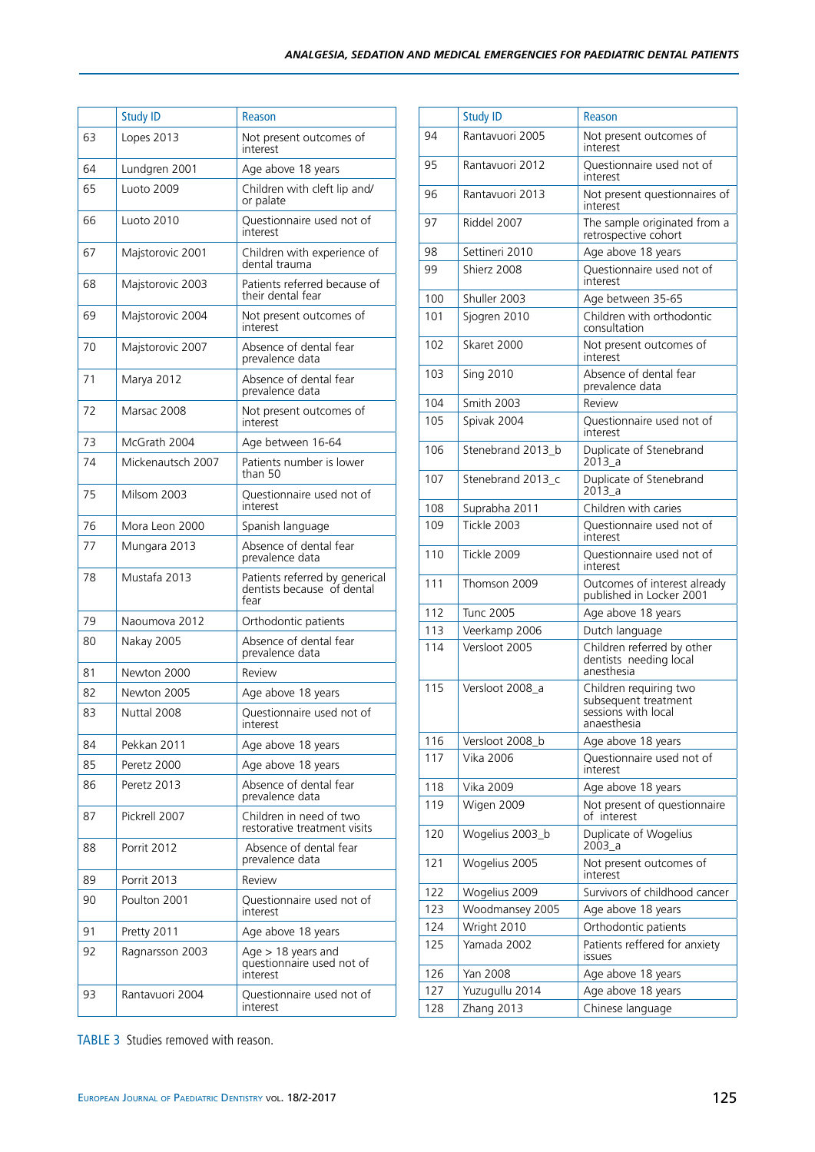|    | <b>Study ID</b>   | Reason                                                               |
|----|-------------------|----------------------------------------------------------------------|
| 63 | Lopes 2013        | Not present outcomes of<br>interest                                  |
| 64 | Lundgren 2001     | Age above 18 years                                                   |
| 65 | Luoto 2009        | Children with cleft lip and/<br>or palate                            |
| 66 | Luoto 2010        | Questionnaire used not of<br>interest                                |
| 67 | Majstorovic 2001  | Children with experience of<br>dental trauma                         |
| 68 | Majstorovic 2003  | Patients referred because of<br>their dental fear                    |
| 69 | Majstorovic 2004  | Not present outcomes of<br>interest                                  |
| 70 | Majstorovic 2007  | Absence of dental fear<br>prevalence data                            |
| 71 | Marya 2012        | Absence of dental fear<br>prevalence data                            |
| 72 | Marsac 2008       | Not present outcomes of<br>interest                                  |
| 73 | McGrath 2004      | Age between 16-64                                                    |
| 74 | Mickenautsch 2007 | Patients number is lower<br>than 50                                  |
| 75 | Milsom 2003       | Questionnaire used not of<br>interest                                |
| 76 | Mora Leon 2000    | Spanish language                                                     |
| 77 | Mungara 2013      | Absence of dental fear<br>prevalence data                            |
| 78 | Mustafa 2013      | Patients referred by generical<br>dentists because of dental<br>fear |
| 79 | Naoumova 2012     | Orthodontic patients                                                 |
| 80 | <b>Nakay 2005</b> | Absence of dental fear<br>prevalence data                            |
| 81 | Newton 2000       | Review                                                               |
| 82 | Newton 2005       | Age above 18 years                                                   |
| 83 | Nuttal 2008       | Questionnaire used not of<br>interest                                |
| 84 | Pekkan 2011       | Age above 18 years                                                   |
| 85 | Peretz 2000       | Age above 18 years                                                   |
| 86 | Peretz 2013       | Absence of dental fear<br>prevalence data                            |
| 87 | Pickrell 2007     | Children in need of two<br>restorative treatment visits              |
| 88 | Porrit 2012       | Absence of dental fear<br>prevalence data                            |
| 89 | Porrit 2013       | Review                                                               |
| 90 | Poulton 2001      | Questionnaire used not of<br>interest                                |
| 91 | Pretty 2011       | Age above 18 years                                                   |
| 92 | Ragnarsson 2003   | Age $> 18$ years and<br>questionnaire used not of<br>interest        |
| 93 | Rantavuori 2004   | Questionnaire used not of<br>interest                                |

|     | <b>Study ID</b>   | Reason                                                                               |
|-----|-------------------|--------------------------------------------------------------------------------------|
| 94  | Rantavuori 2005   | Not present outcomes of<br>interest                                                  |
| 95  | Rantavuori 2012   | Questionnaire used not of<br>interest                                                |
| 96  | Rantavuori 2013   | Not present questionnaires of<br>interest                                            |
| 97  | Riddel 2007       | The sample originated from a<br>retrospective cohort                                 |
| 98  | Settineri 2010    | Age above 18 years                                                                   |
| 99  | Shierz 2008       | Ouestionnaire used not of<br>interest                                                |
| 100 | Shuller 2003      | Age between 35-65                                                                    |
| 101 | Sjogren 2010      | Children with orthodontic<br>consultation                                            |
| 102 | Skaret 2000       | Not present outcomes of<br>interest                                                  |
| 103 | <b>Sing 2010</b>  | Absence of dental fear<br>prevalence data                                            |
| 104 | Smith 2003        | Review                                                                               |
| 105 | Spivak 2004       | Questionnaire used not of<br>interest                                                |
| 106 | Stenebrand 2013_b | Duplicate of Stenebrand<br>2013 a                                                    |
| 107 | Stenebrand 2013 c | Duplicate of Stenebrand<br>2013 a                                                    |
| 108 | Suprabha 2011     | Children with caries                                                                 |
| 109 | Tickle 2003       | Questionnaire used not of<br>interest                                                |
| 110 | Tickle 2009       | Questionnaire used not of<br>interest                                                |
| 111 | Thomson 2009      | Outcomes of interest already<br>published in Locker 2001                             |
| 112 | <b>Tunc 2005</b>  | Age above 18 years                                                                   |
| 113 | Veerkamp 2006     | Dutch language                                                                       |
| 114 | Versloot 2005     | Children referred by other<br>dentists needing local<br>anesthesia                   |
| 115 | Versloot 2008_a   | Children requiring two<br>subsequent treatment<br>sessions with local<br>anaesthesia |
| 116 | Versloot 2008_b   | Age above 18 years                                                                   |
| 117 | Vika 2006         | Questionnaire used not of<br>interest                                                |
| 118 | Vika 2009         | Age above 18 years                                                                   |
| 119 | Wigen 2009        | Not present of questionnaire<br>of interest                                          |
| 120 | Wogelius 2003_b   | Duplicate of Wogelius<br>2003 a                                                      |
| 121 | Wogelius 2005     | Not present outcomes of<br>interest                                                  |
| 122 | Wogelius 2009     | Survivors of childhood cancer                                                        |
| 123 | Woodmansey 2005   | Age above 18 years                                                                   |
| 124 | Wright 2010       | Orthodontic patients                                                                 |
| 125 | Yamada 2002       | Patients reffered for anxiety<br><b>issues</b>                                       |
| 126 | Yan 2008          | Age above 18 years                                                                   |
| 127 | Yuzugullu 2014    | Age above 18 years                                                                   |
| 128 | Zhang 2013        | Chinese language                                                                     |

TABLE 3 Studies removed with reason.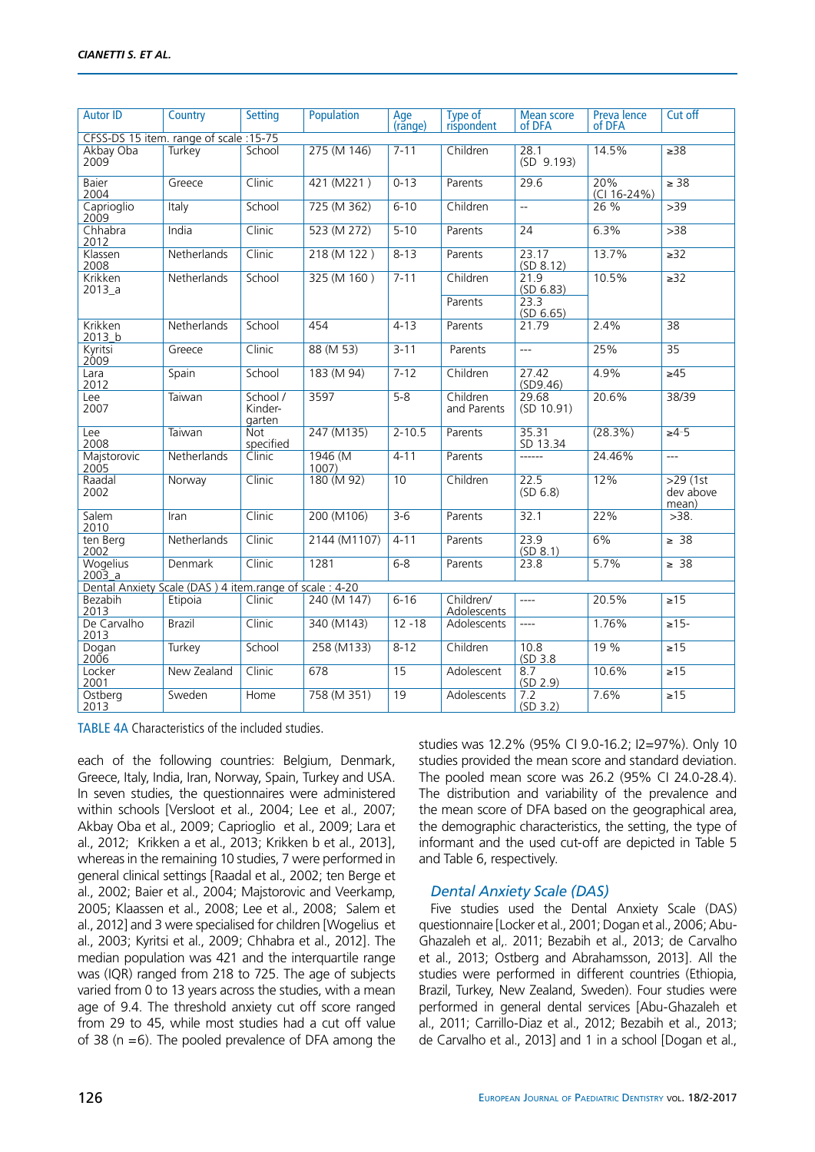| <b>Autor ID</b>                                        | Country       | <b>Setting</b>                | Population      | Age<br>(rănge) | Type of<br>rispondent           | <b>Mean score</b><br>of DFA            | <b>Prevalence</b><br>of DFA | Cut off                          |
|--------------------------------------------------------|---------------|-------------------------------|-----------------|----------------|---------------------------------|----------------------------------------|-----------------------------|----------------------------------|
| CFSS-DS 15 item. range of scale :15-75                 |               |                               |                 |                |                                 |                                        |                             |                                  |
| Akbay Oba<br>2009                                      | Turkey        | School                        | 275 (M 146)     | $7 - 11$       | Children                        | 28.1<br>(SD 9.193)                     | 14.5%                       | >38                              |
| Baier<br>2004                                          | Greece        | Clinic                        | 421 (M221)      | $0 - 13$       | Parents                         | 29.6                                   | 20%<br>$(Cl 16-24%)$        | $\geq 38$                        |
| Caprioglio<br>2009                                     | Italy         | School                        | 725 (M 362)     | $6 - 10$       | Children                        | ц.                                     | 26 %                        | >39                              |
| Chhabra<br>2012                                        | India         | Clinic                        | 523 (M 272)     | $5 - 10$       | Parents                         | 24                                     | 6.3%                        | >38                              |
| Klassen<br>2008                                        | Netherlands   | Clinic                        | 218 (M 122)     | $8 - 13$       | Parents                         | 23.17<br>(SD 8.12)                     | 13.7%                       | $\geq$ 32                        |
| Krikken<br>2013_a                                      | Netherlands   | School                        | 325 (M 160)     | $7 - 11$       | Children<br>Parents             | 21.9<br>(SD 6.83)<br>23.3<br>(SD 6.65) | 10.5%                       | $\overline{\geq}32$              |
| Krikken<br>2013_b                                      | Netherlands   | School                        | 454             | $4 - 13$       | Parents                         | 21.79                                  | 2.4%                        | 38                               |
| Kyritsi<br>2009                                        | Greece        | Clinic                        | 88 (M 53)       | $3 - 11$       | Parents                         | $\overline{a}$                         | 25%                         | $\overline{35}$                  |
| Lara<br>2012                                           | Spain         | School                        | 183 (M 94)      | $7 - 12$       | Children                        | 27.42<br>(SD9.46)                      | 4.9%                        | $\geq 45$                        |
| Lee<br>2007                                            | Taiwan        | School /<br>Kinder-<br>garten | 3597            | $5 - 8$        | Children<br>and Parents         | 29.68<br>(SD 10.91)                    | 20.6%                       | 38/39                            |
| Lee<br>2008                                            | Taiwan        | <b>Not</b><br>specified       | 247 (M135)      | $2 - 10.5$     | Parents                         | 35.31<br>SD 13.34                      | (28.3%)                     | $>4-5$                           |
| Majstorovic<br>2005                                    | Netherlands   | Clinic                        | 1946 (M<br>1007 | $4 - 11$       | Parents                         | ------                                 | 24.46%                      | $\overline{a}$                   |
| Raadal<br>2002                                         | Norway        | Clinic                        | 180 (M 92)      | 10             | Children                        | 22.5<br>(SD 6.8)                       | 12%                         | $>29$ (1st<br>dev above<br>mean) |
| Salem<br>2010                                          | Iran          | Clinic                        | 200 (M106)      | $3 - 6$        | Parents                         | 32.1                                   | 22%                         | >38.                             |
| ten Berg<br>2002                                       | Netherlands   | Clinic                        | 2144 (M1107)    | $4 - 11$       | Parents                         | 23.9<br>(SD 8.1)                       | 6%                          | $\geq 38$                        |
| <b>Wogelius</b><br>$2003_a$                            | Denmark       | Clinic                        | 1281            | $6 - 8$        | Parents                         | 23.8                                   | 5.7%                        | $\geq 38$                        |
| Dental Anxiety Scale (DAS) 4 item.range of scale: 4-20 |               |                               |                 |                |                                 |                                        |                             |                                  |
| Bezabih<br>2013                                        | Etipoia       | Clinic                        | 240 (M 147)     | $6 - 16$       | Children/<br><b>Adolescents</b> | ----                                   | 20.5%                       | $\sqrt{215}$                     |
| De Carvalho<br>2013                                    | <b>Brazil</b> | Clinic                        | 340 (M143)      | $12 - 18$      | Adolescents                     | $\overline{a}$                         | 1.76%                       | $\ge 15 -$                       |
| Dogan<br>2006                                          | Turkey        | School                        | 258 (M133)      | $8 - 12$       | Children                        | 10.8<br>(SD 3.8)                       | 19 %                        | $\sqrt{215}$                     |
| Locker<br>2001                                         | New Zealand   | Clinic                        | 678             | 15             | Adolescent                      | 8.7<br>(SD 2.9)                        | 10.6%                       | $\geq 15$                        |
| Ostberg<br>2013                                        | Sweden        | Home                          | 758 (M 351)     | 19             | Adolescents                     | 7.2<br>(SD 3.2)                        | 7.6%                        | $\sqrt{215}$                     |

TABLE 4A Characteristics of the included studies.

each of the following countries: Belgium, Denmark, Greece, Italy, India, Iran, Norway, Spain, Turkey and USA. In seven studies, the questionnaires were administered within schools [Versloot et al., 2004; Lee et al., 2007; Akbay Oba et al., 2009; Caprioglio et al., 2009; Lara et al., 2012; Krikken a et al., 2013; Krikken b et al., 2013], whereas in the remaining 10 studies, 7 were performed in general clinical settings [Raadal et al., 2002; ten Berge et al., 2002; Baier et al., 2004; Majstorovic and Veerkamp, 2005; Klaassen et al., 2008; Lee et al., 2008; Salem et al., 2012] and 3 were specialised for children [Wogelius et al., 2003; Kyritsi et al., 2009; Chhabra et al., 2012]. The median population was 421 and the interquartile range was (IQR) ranged from 218 to 725. The age of subjects varied from 0 to 13 years across the studies, with a mean age of 9.4. The threshold anxiety cut off score ranged from 29 to 45, while most studies had a cut off value of 38 ( $n = 6$ ). The pooled prevalence of DFA among the

studies was 12.2% (95% CI 9.0-16.2; I2=97%). Only 10 studies provided the mean score and standard deviation. The pooled mean score was 26.2 (95% CI 24.0-28.4). The distribution and variability of the prevalence and the mean score of DFA based on the geographical area, the demographic characteristics, the setting, the type of informant and the used cut-off are depicted in Table 5 and Table 6, respectively.

#### *Dental Anxiety Scale (DAS)*

Five studies used the Dental Anxiety Scale (DAS) questionnaire [Locker et al., 2001; Dogan et al., 2006; Abu-Ghazaleh et al,. 2011; Bezabih et al., 2013; de Carvalho et al., 2013; Ostberg and Abrahamsson, 2013]. All the studies were performed in different countries (Ethiopia, Brazil, Turkey, New Zealand, Sweden). Four studies were performed in general dental services [Abu-Ghazaleh et al., 2011; Carrillo-Diaz et al., 2012; Bezabih et al., 2013; de Carvalho et al., 2013] and 1 in a school [Dogan et al.,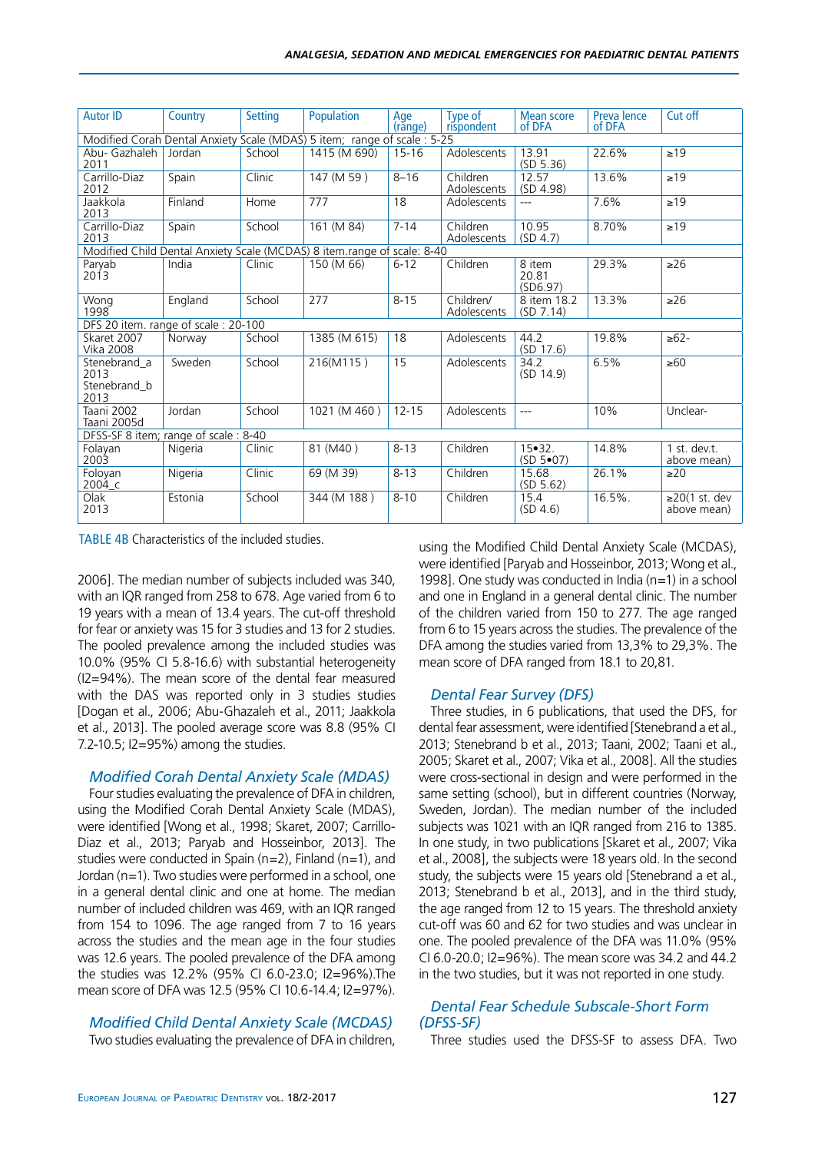| <b>Autor ID</b>                              | Country | <b>Setting</b> | Population                                                               | Age       | Type of                  | <b>Mean score</b>                    | Preva lence | Cut off                            |
|----------------------------------------------|---------|----------------|--------------------------------------------------------------------------|-----------|--------------------------|--------------------------------------|-------------|------------------------------------|
|                                              |         |                |                                                                          | (rănge)   | rispondent               | of DFA                               | of DFA      |                                    |
|                                              |         |                | Modified Corah Dental Anxiety Scale (MDAS) 5 item; range of scale : 5-25 |           |                          |                                      |             |                                    |
| Abu- Gazhaleh<br>2011                        | Jordan  | School         | 1415 (M 690)                                                             | $15 - 16$ | Adolescents              | 13.91<br>(SD 5.36)                   | 22.6%       | $\geq$ 19                          |
| Carrillo-Diaz<br>2012                        | Spain   | Clinic         | 147 (M 59)                                                               | $8 - 16$  | Children<br>Adolescents  | 12.57<br>(SD 4.98)                   | 13.6%       | $\geq$ 19                          |
| Jaakkola<br>2013                             | Finland | Home           | 777                                                                      | 18        | Adolescents              | ---                                  | 7.6%        | $\geq 19$                          |
| Carrillo-Diaz<br>2013                        | Spain   | School         | 161 (M 84)                                                               | $7 - 14$  | Children<br>Adolescents  | 10.95<br>(SD 4.7)                    | 8.70%       | $\geq$ 19                          |
|                                              |         |                | Modified Child Dental Anxiety Scale (MCDAS) 8 item.range of scale: 8-40  |           |                          |                                      |             |                                    |
| Paryab<br>2013                               | India   | Clinic         | 150 (M 66)                                                               | $6 - 12$  | Children                 | 8 item<br>20.81<br>(SD6.97)          | 29.3%       | $\geq 26$                          |
| Wong<br>1998                                 | England | School         | 277                                                                      | $8 - 15$  | Children/<br>Adolescents | 8 item 18.2<br>(SD 7.14)             | 13.3%       | $\geq 26$                          |
| DFS 20 item. range of scale: 20-100          |         |                |                                                                          |           |                          |                                      |             |                                    |
| Skaret 2007<br><b>Vika 2008</b>              | Norway  | School         | 1385 (M 615)                                                             | 18        | Adolescents              | 44.2<br>(SD 17.6)                    | 19.8%       | $\geq 62 -$                        |
| Stenebrand a<br>2013<br>Stenebrand b<br>2013 | Sweden  | School         | 216(M115)                                                                | 15        | Adolescents              | 34.2<br>(SD 14.9)                    | 6.5%        | $\geq 60$                          |
| Taani 2002<br>Taani 2005d                    | Jordan  | School         | 1021 (M 460)                                                             | $12 - 15$ | Adolescents              | ---                                  | 10%         | Unclear-                           |
| DFSS-SF 8 item; range of scale: 8-40         |         |                |                                                                          |           |                          |                                      |             |                                    |
| Folayan<br>2003                              | Nigeria | Clinic         | 81 (M40)                                                                 | $8 - 13$  | Children                 | $15 \cdot 32$ .<br>$(SD 5 \cdot 07)$ | 14.8%       | 1 st. dev.t.<br>above mean)        |
| Foloyan<br>2004 c                            | Nigeria | Clinic         | 69 (M 39)                                                                | $8 - 13$  | Children                 | 15.68<br>(SD 5.62)                   | 26.1%       | $\geq$ 20                          |
| Olak<br>2013                                 | Estonia | School         | 344 (M 188)                                                              | $8 - 10$  | Children                 | 15.4<br>(SD 4.6)                     | 16.5%.      | $\geq$ 20(1 st. dev<br>above mean) |

TABLE 4B Characteristics of the included studies.

2006]. The median number of subjects included was 340, with an IQR ranged from 258 to 678. Age varied from 6 to 19 years with a mean of 13.4 years. The cut-off threshold for fear or anxiety was 15 for 3 studies and 13 for 2 studies. The pooled prevalence among the included studies was 10.0% (95% CI 5.8-16.6) with substantial heterogeneity (I2=94%). The mean score of the dental fear measured with the DAS was reported only in 3 studies studies [Dogan et al., 2006; Abu-Ghazaleh et al., 2011; Jaakkola et al., 2013]. The pooled average score was 8.8 (95% CI 7.2-10.5; I2=95%) among the studies.

#### *Modified Corah Dental Anxiety Scale (MDAS)*

Four studies evaluating the prevalence of DFA in children, using the Modified Corah Dental Anxiety Scale (MDAS), were identified [Wong et al., 1998; Skaret, 2007; Carrillo-Diaz et al., 2013; Paryab and Hosseinbor, 2013]. The studies were conducted in Spain (n=2), Finland (n=1), and Jordan (n=1). Two studies were performed in a school, one in a general dental clinic and one at home. The median number of included children was 469, with an IQR ranged from 154 to 1096. The age ranged from 7 to 16 years across the studies and the mean age in the four studies was 12.6 years. The pooled prevalence of the DFA among the studies was 12.2% (95% CI 6.0-23.0; I2=96%).The mean score of DFA was 12.5 (95% CI 10.6-14.4; I2=97%).

#### *Modified Child Dental Anxiety Scale (MCDAS)*

Two studies evaluating the prevalence of DFA in children,

using the Modified Child Dental Anxiety Scale (MCDAS), were identified [Paryab and Hosseinbor, 2013; Wong et al., 1998]. One study was conducted in India (n=1) in a school and one in England in a general dental clinic. The number of the children varied from 150 to 277. The age ranged from 6 to 15 years across the studies. The prevalence of the DFA among the studies varied from 13,3% to 29,3%. The mean score of DFA ranged from 18.1 to 20,81.

#### *Dental Fear Survey (DFS)*

Three studies, in 6 publications, that used the DFS, for dental fear assessment, were identified [Stenebrand a et al., 2013; Stenebrand b et al., 2013; Taani, 2002; Taani et al., 2005; Skaret et al., 2007; Vika et al., 2008]. All the studies were cross-sectional in design and were performed in the same setting (school), but in different countries (Norway, Sweden, Jordan). The median number of the included subjects was 1021 with an IQR ranged from 216 to 1385. In one study, in two publications [Skaret et al., 2007; Vika et al., 2008], the subjects were 18 years old. In the second study, the subjects were 15 years old [Stenebrand a et al., 2013; Stenebrand b et al., 2013], and in the third study, the age ranged from 12 to 15 years. The threshold anxiety cut-off was 60 and 62 for two studies and was unclear in one. The pooled prevalence of the DFA was 11.0% (95% CI 6.0-20.0; I2=96%). The mean score was 34.2 and 44.2 in the two studies, but it was not reported in one study.

#### *Dental Fear Schedule Subscale-Short Form (DFSS-SF)*

Three studies used the DFSS-SF to assess DFA. Two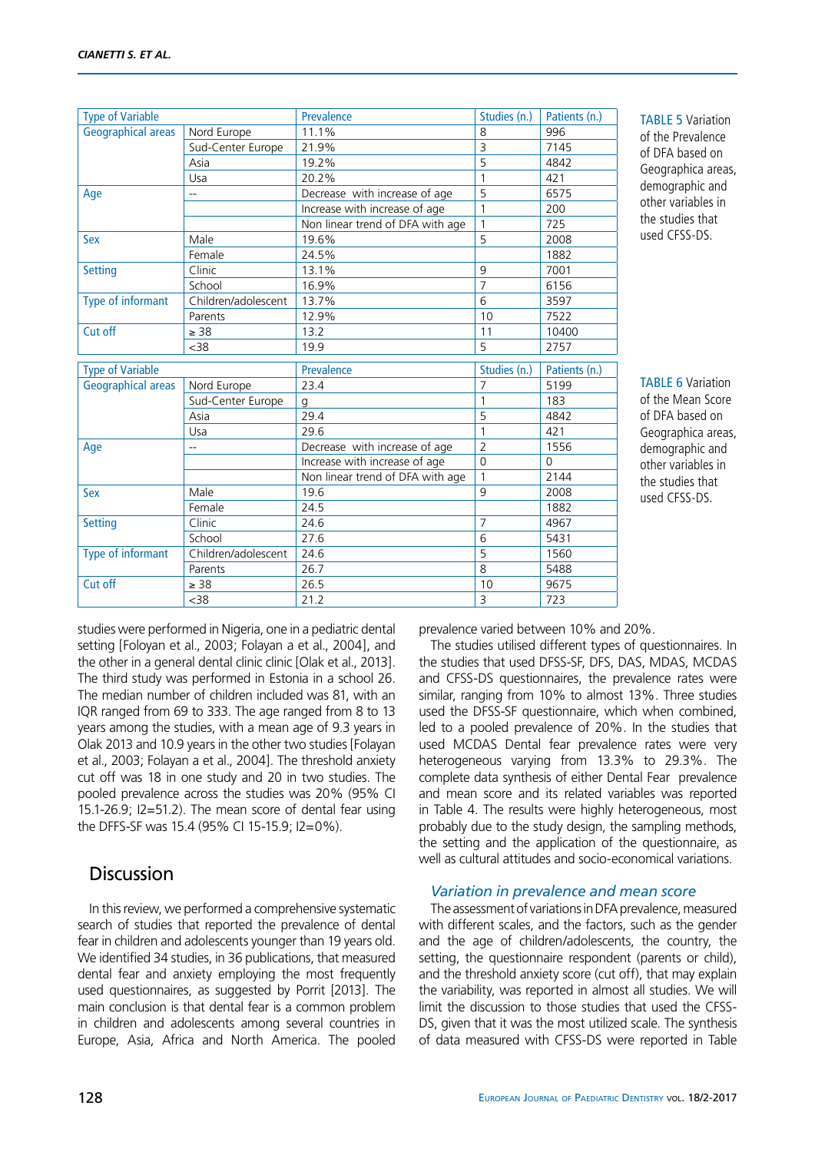| <b>Type of Variable</b>   |                           | Prevalence                       | Studies (n.)                   | Patients (n.)         |
|---------------------------|---------------------------|----------------------------------|--------------------------------|-----------------------|
| <b>Geographical areas</b> | Nord Europe               | 11.1%                            | 8                              | 996                   |
|                           | Sud-Center Europe         | 21.9%                            | $\overline{3}$                 | 7145                  |
|                           | Asia                      | 19.2%                            | 5                              | 4842                  |
|                           | Usa                       | 20.2%                            | $\mathbf{1}$                   | 421                   |
| Age                       | --                        | Decrease with increase of age    | 5                              | 6575                  |
|                           |                           | Increase with increase of age    | $\mathbf{1}$                   | 200                   |
|                           |                           | Non linear trend of DFA with age | $\mathbf{1}$                   | 725                   |
| <b>Sex</b>                | Male                      | 19.6%                            | 5                              | 2008                  |
|                           | Female                    | 24.5%                            |                                | 1882                  |
| <b>Setting</b>            | Clinic                    | 13.1%                            | 9                              | 7001                  |
|                           | School                    | 16.9%                            | $\overline{7}$                 | 6156                  |
| Type of informant         | Children/adolescent       | 13.7%                            | 6                              | 3597                  |
|                           | Parents                   | 12.9%                            | 10                             | 7522                  |
| Cut off                   | $\geq 38$                 | 13.2                             | 11                             | 10400                 |
|                           | <38                       | 19.9                             | 5                              | 2757                  |
|                           |                           |                                  |                                |                       |
|                           |                           |                                  |                                |                       |
| <b>Type of Variable</b>   |                           | Prevalence<br>23.4               | Studies (n.)<br>$\overline{7}$ | Patients (n.)<br>5199 |
| <b>Geographical areas</b> | Nord Europe               |                                  | $\mathbf{1}$                   | 183                   |
|                           | Sud-Center Europe<br>Asia | q<br>29.4                        | 5                              | 4842                  |
|                           | Usa                       | 29.6                             | $\mathbf{1}$                   | 421                   |
|                           | --                        | Decrease with increase of age    | $\overline{2}$                 | 1556                  |
| Age                       |                           | Increase with increase of age    | $\Omega$                       | $\Omega$              |
|                           |                           | Non linear trend of DFA with age | $\mathbf{1}$                   | 2144                  |
| <b>Sex</b>                | Male                      | 19.6                             | 9                              | 2008                  |
|                           | Female                    | 24.5                             |                                | 1882                  |
| <b>Setting</b>            | Clinic                    | 24.6                             | $\overline{7}$                 | 4967                  |
|                           | School                    | 27.6                             | 6                              | 5431                  |
| Type of informant         | Children/adolescent       | 24.6                             | 5                              | 1560                  |
|                           | Parents                   | 26.7                             | 8                              | 5488                  |
| Cut off                   | $\geq 38$                 | 26.5                             | 10                             | 9675                  |

TABLE 5 Variation of the Prevalence of DFA based on Geographica areas, demographic and other variables in the studies that used CFSS-DS.

TABLE 6 Variation of the Mean Score of DFA based on Geographica areas, demographic and other variables in the studies that used CFSS-DS.

studies were performed in Nigeria, one in a pediatric dental setting [Foloyan et al., 2003; Folayan a et al., 2004], and the other in a general dental clinic clinic [Olak et al., 2013]. The third study was performed in Estonia in a school 26. The median number of children included was 81, with an IQR ranged from 69 to 333. The age ranged from 8 to 13 years among the studies, with a mean age of 9.3 years in Olak 2013 and 10.9 years in the other two studies [Folayan et al., 2003; Folayan a et al., 2004]. The threshold anxiety cut off was 18 in one study and 20 in two studies. The pooled prevalence across the studies was 20% (95% CI 15.1-26.9; I2=51.2). The mean score of dental fear using the DFFS-SF was 15.4 (95% CI 15-15.9; I2=0%).

# **Discussion**

In this review, we performed a comprehensive systematic search of studies that reported the prevalence of dental fear in children and adolescents younger than 19 years old. We identified 34 studies, in 36 publications, that measured dental fear and anxiety employing the most frequently used questionnaires, as suggested by Porrit [2013]. The main conclusion is that dental fear is a common problem in children and adolescents among several countries in Europe, Asia, Africa and North America. The pooled

prevalence varied between 10% and 20%.

The studies utilised different types of questionnaires. In the studies that used DFSS-SF, DFS, DAS, MDAS, MCDAS and CFSS-DS questionnaires, the prevalence rates were similar, ranging from 10% to almost 13%. Three studies used the DFSS-SF questionnaire, which when combined, led to a pooled prevalence of 20%. In the studies that used MCDAS Dental fear prevalence rates were very heterogeneous varying from 13.3% to 29.3%. The complete data synthesis of either Dental Fear prevalence and mean score and its related variables was reported in Table 4. The results were highly heterogeneous, most probably due to the study design, the sampling methods, the setting and the application of the questionnaire, as well as cultural attitudes and socio-economical variations.

### *Variation in prevalence and mean score*

The assessment of variations in DFA prevalence, measured with different scales, and the factors, such as the gender and the age of children/adolescents, the country, the setting, the questionnaire respondent (parents or child), and the threshold anxiety score (cut off), that may explain the variability, was reported in almost all studies. We will limit the discussion to those studies that used the CFSS-DS, given that it was the most utilized scale. The synthesis of data measured with CFSS-DS were reported in Table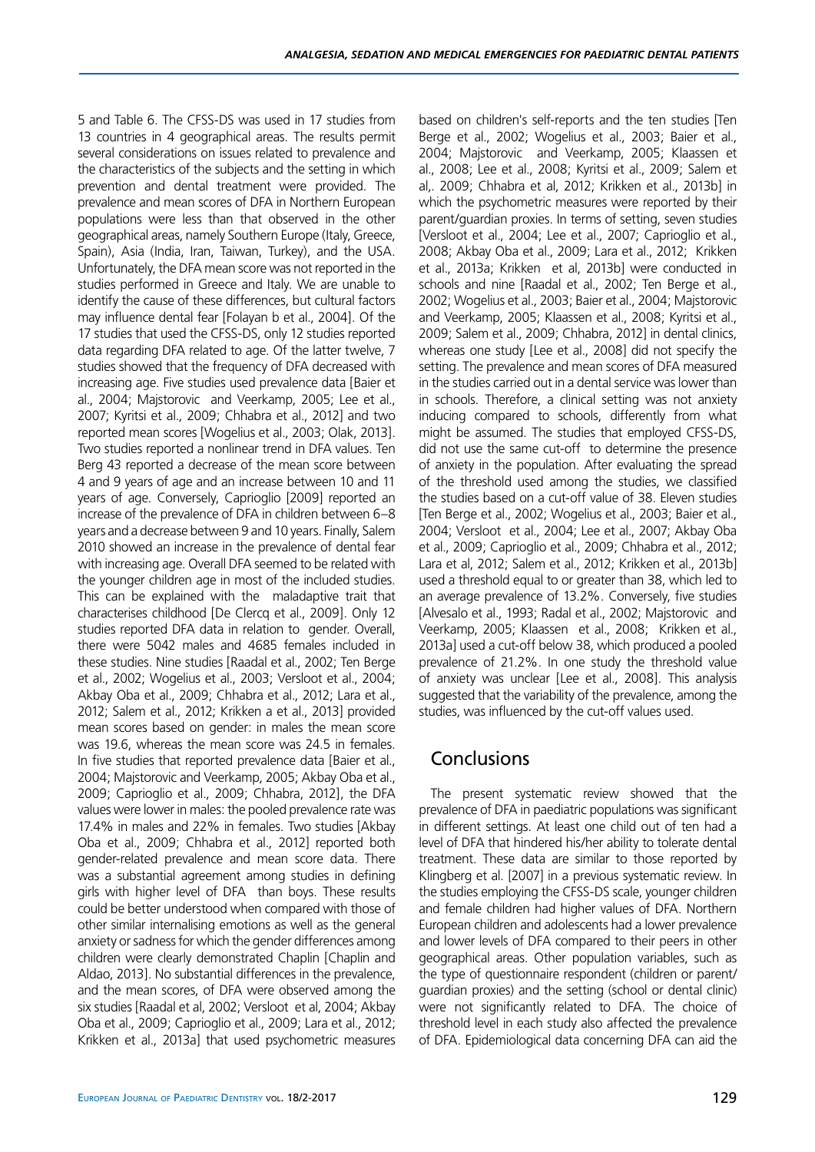5 and Table 6. The CFSS-DS was used in 17 studies from 13 countries in 4 geographical areas. The results permit several considerations on issues related to prevalence and the characteristics of the subjects and the setting in which prevention and dental treatment were provided. The prevalence and mean scores of DFA in Northern European populations were less than that observed in the other geographical areas, namely Southern Europe (Italy, Greece, Spain), Asia (India, Iran, Taiwan, Turkey), and the USA. Unfortunately, the DFA mean score was not reported in the studies performed in Greece and Italy. We are unable to identify the cause of these differences, but cultural factors may influence dental fear [Folayan b et al., 2004]. Of the 17 studies that used the CFSS-DS, only 12 studies reported data regarding DFA related to age. Of the latter twelve, 7 studies showed that the frequency of DFA decreased with increasing age. Five studies used prevalence data [Baier et al., 2004; Majstorovic and Veerkamp, 2005; Lee et al., 2007; Kyritsi et al., 2009; Chhabra et al., 2012] and two reported mean scores [Wogelius et al., 2003; Olak, 2013]. Two studies reported a nonlinear trend in DFA values. Ten Berg 43 reported a decrease of the mean score between 4 and 9 years of age and an increase between 10 and 11 years of age. Conversely, Caprioglio [2009] reported an increase of the prevalence of DFA in children between 6–8 years and a decrease between 9 and 10 years. Finally, Salem 2010 showed an increase in the prevalence of dental fear with increasing age. Overall DFA seemed to be related with the younger children age in most of the included studies. This can be explained with the maladaptive trait that characterises childhood [De Clercq et al., 2009]. Only 12 studies reported DFA data in relation to gender. Overall, there were 5042 males and 4685 females included in these studies. Nine studies [Raadal et al., 2002; Ten Berge et al., 2002; Wogelius et al., 2003; Versloot et al., 2004; Akbay Oba et al., 2009; Chhabra et al., 2012; Lara et al., 2012; Salem et al., 2012; Krikken a et al., 2013] provided mean scores based on gender: in males the mean score was 19.6, whereas the mean score was 24.5 in females. In five studies that reported prevalence data [Baier et al., 2004; Majstorovic and Veerkamp, 2005; Akbay Oba et al., 2009; Caprioglio et al., 2009; Chhabra, 2012], the DFA values were lower in males: the pooled prevalence rate was 17.4% in males and 22% in females. Two studies [Akbay Oba et al., 2009; Chhabra et al., 2012] reported both gender-related prevalence and mean score data. There was a substantial agreement among studies in defining girls with higher level of DFA than boys. These results could be better understood when compared with those of other similar internalising emotions as well as the general anxiety or sadness for which the gender differences among children were clearly demonstrated Chaplin [Chaplin and Aldao, 2013]. No substantial differences in the prevalence, and the mean scores, of DFA were observed among the six studies [Raadal et al, 2002; Versloot et al, 2004; Akbay Oba et al., 2009; Caprioglio et al., 2009; Lara et al., 2012; Krikken et al., 2013a] that used psychometric measures based on children's self-reports and the ten studies [Ten Berge et al., 2002; Wogelius et al., 2003; Baier et al., 2004; Majstorovic and Veerkamp, 2005; Klaassen et al., 2008; Lee et al., 2008; Kyritsi et al., 2009; Salem et al,. 2009; Chhabra et al, 2012; Krikken et al., 2013b] in which the psychometric measures were reported by their parent/guardian proxies. In terms of setting, seven studies [Versloot et al., 2004; Lee et al., 2007; Caprioglio et al., 2008; Akbay Oba et al., 2009; Lara et al., 2012; Krikken et al., 2013a; Krikken et al, 2013b] were conducted in schools and nine [Raadal et al., 2002; Ten Berge et al., 2002; Wogelius et al., 2003; Baier et al., 2004; Majstorovic and Veerkamp, 2005; Klaassen et al., 2008; Kyritsi et al., 2009; Salem et al., 2009; Chhabra, 2012] in dental clinics, whereas one study [Lee et al., 2008] did not specify the setting. The prevalence and mean scores of DFA measured in the studies carried out in a dental service was lower than in schools. Therefore, a clinical setting was not anxiety inducing compared to schools, differently from what might be assumed. The studies that employed CFSS-DS, did not use the same cut-off to determine the presence of anxiety in the population. After evaluating the spread of the threshold used among the studies, we classified the studies based on a cut-off value of 38. Eleven studies [Ten Berge et al., 2002; Wogelius et al., 2003; Baier et al., 2004; Versloot et al., 2004; Lee et al., 2007; Akbay Oba et al., 2009; Caprioglio et al., 2009; Chhabra et al., 2012; Lara et al, 2012; Salem et al., 2012; Krikken et al., 2013b] used a threshold equal to or greater than 38, which led to an average prevalence of 13.2%. Conversely, five studies [Alvesalo et al., 1993; Radal et al., 2002; Majstorovic and Veerkamp, 2005; Klaassen et al., 2008; Krikken et al., 2013a] used a cut-off below 38, which produced a pooled prevalence of 21.2%. In one study the threshold value of anxiety was unclear [Lee et al., 2008]. This analysis suggested that the variability of the prevalence, among the studies, was influenced by the cut-off values used.

## **Conclusions**

The present systematic review showed that the prevalence of DFA in paediatric populations was significant in different settings. At least one child out of ten had a level of DFA that hindered his/her ability to tolerate dental treatment. These data are similar to those reported by Klingberg et al. [2007] in a previous systematic review. In the studies employing the CFSS-DS scale, younger children and female children had higher values of DFA. Northern European children and adolescents had a lower prevalence and lower levels of DFA compared to their peers in other geographical areas. Other population variables, such as the type of questionnaire respondent (children or parent/ guardian proxies) and the setting (school or dental clinic) were not significantly related to DFA. The choice of threshold level in each study also affected the prevalence of DFA. Epidemiological data concerning DFA can aid the